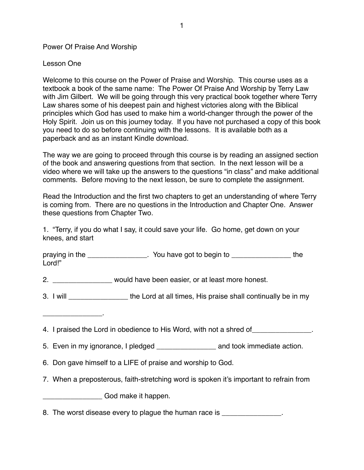Power Of Praise And Worship

Lesson One

Welcome to this course on the Power of Praise and Worship. This course uses as a textbook a book of the same name: The Power Of Praise And Worship by Terry Law with Jim Gilbert. We will be going through this very practical book together where Terry Law shares some of his deepest pain and highest victories along with the Biblical principles which God has used to make him a world-changer through the power of the Holy Spirit. Join us on this journey today. If you have not purchased a copy of this book you need to do so before continuing with the lessons. It is available both as a paperback and as an instant Kindle download.

The way we are going to proceed through this course is by reading an assigned section of the book and answering questions from that section. In the next lesson will be a video where we will take up the answers to the questions "in class" and make additional comments. Before moving to the next lesson, be sure to complete the assignment.

Read the Introduction and the first two chapters to get an understanding of where Terry is coming from. There are no questions in the Introduction and Chapter One. Answer these questions from Chapter Two.

1. "Terry, if you do what I say, it could save your life. Go home, get down on your knees, and start

praying in the **the state of the state of the state of the state of the state of the state of the state of the** Lord!"

2. \_\_\_\_\_\_\_\_\_\_\_\_\_\_\_ would have been easier, or at least more honest.

3. I will \_\_\_\_\_\_\_\_\_\_\_\_\_\_\_ the Lord at all times, His praise shall continually be in my

 $\mathcal{L}=\mathcal{L}^{\mathcal{L}}$ 

- 4. I praised the Lord in obedience to His Word, with not a shred of \_\_\_\_\_\_\_\_\_\_\_\_\_
- 5. Even in my ignorance, I pledged and took immediate action.
- 6. Don gave himself to a LIFE of praise and worship to God.
- 7. When a preposterous, faith-stretching word is spoken it's important to refrain from

\_\_\_\_\_\_\_\_\_\_\_\_\_\_\_ God make it happen.

8. The worst disease every to plaque the human race is  $\blacksquare$